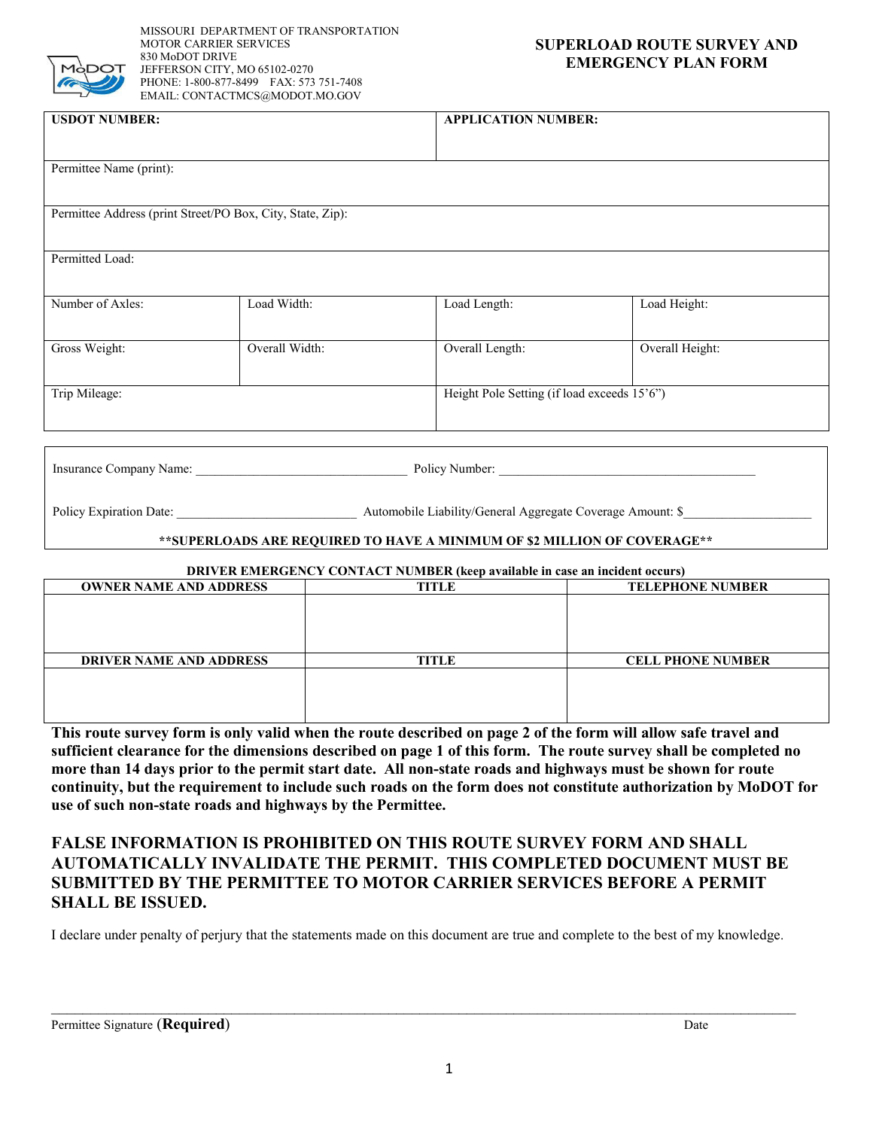

 MISSOURI DEPARTMENT OF TRANSPORTATION MOTOR CARRIER SERVICES 830 MoDOT DRIVE JEFFERSON CITY, MO 65102-0270 PHONE: 1-800-877-8499 FAX: 573 751-7408 EMAIL: CONTACTMCS@MODOT.MO.GOV

## **SUPERLOAD ROUTE SURVEY AND EMERGENCY PLAN FORM**

| <b>USDOT NUMBER:</b>                                       |                | <b>APPLICATION NUMBER:</b>                  |                 |
|------------------------------------------------------------|----------------|---------------------------------------------|-----------------|
|                                                            |                |                                             |                 |
| Permittee Name (print):                                    |                |                                             |                 |
|                                                            |                |                                             |                 |
| Permittee Address (print Street/PO Box, City, State, Zip): |                |                                             |                 |
|                                                            |                |                                             |                 |
| Permitted Load:                                            |                |                                             |                 |
|                                                            |                |                                             |                 |
| Number of Axles:                                           | Load Width:    | Load Length:                                | Load Height:    |
|                                                            |                |                                             |                 |
| Gross Weight:                                              | Overall Width: | Overall Length:                             | Overall Height: |
|                                                            |                |                                             |                 |
| Trip Mileage:                                              |                | Height Pole Setting (if load exceeds 15'6") |                 |
|                                                            |                |                                             |                 |
|                                                            |                |                                             |                 |

Insurance Company Name: \_\_\_\_\_\_\_\_\_\_\_\_\_\_\_\_\_\_\_\_\_\_\_\_\_\_\_\_\_\_\_\_\_ Policy Number: \_\_\_\_\_\_\_\_\_\_\_\_\_\_\_\_\_\_\_\_\_\_\_\_\_\_\_\_\_\_\_\_\_\_\_\_\_\_\_\_

Policy Expiration Date:

Automobile Liability/General Aggregate Coverage Amount: \$\_

### **\*\*SUPERLOADS ARE REQUIRED TO HAVE A MINIMUM OF \$2 MILLION OF COVERAGE\*\***

#### **DRIVER EMERGENCY CONTACT NUMBER (keep available in case an incident occurs)**

| DIM / DIVIDING DIVOT CONTINUE INCHIDING (INCEDIATIONIC IN CHOC AN INCREDIT OCCUP) |       |                          |  |
|-----------------------------------------------------------------------------------|-------|--------------------------|--|
| <b>OWNER NAME AND ADDRESS</b>                                                     | TITLE | <b>TELEPHONE NUMBER</b>  |  |
|                                                                                   |       |                          |  |
|                                                                                   |       |                          |  |
|                                                                                   |       |                          |  |
|                                                                                   |       |                          |  |
|                                                                                   |       |                          |  |
|                                                                                   |       |                          |  |
|                                                                                   |       |                          |  |
| <b>DRIVER NAME AND ADDRESS</b>                                                    | TITLE | <b>CELL PHONE NUMBER</b> |  |
|                                                                                   |       |                          |  |
|                                                                                   |       |                          |  |
|                                                                                   |       |                          |  |
|                                                                                   |       |                          |  |
|                                                                                   |       |                          |  |
|                                                                                   |       |                          |  |
|                                                                                   |       |                          |  |

 **This route survey form is only valid when the route described on page 2 of the form will allow safe travel and continuity, but the requirement to include such roads on the form does not constitute authorization by MoDOT for sufficient clearance for the dimensions described on page 1 of this form. The route survey shall be completed no more than 14 days prior to the permit start date. All non-state roads and highways must be shown for route use of such non-state roads and highways by the Permittee.** 

# **FALSE INFORMATION IS PROHIBITED ON THIS ROUTE SURVEY FORM AND SHALL AUTOMATICALLY INVALIDATE THE PERMIT. THIS COMPLETED DOCUMENT MUST BE SUBMITTED BY THE PERMITTEE TO MOTOR CARRIER SERVICES BEFORE A PERMIT SHALL BE ISSUED.**

I declare under penalty of perjury that the statements made on this document are true and complete to the best of my knowledge.

 $\_$